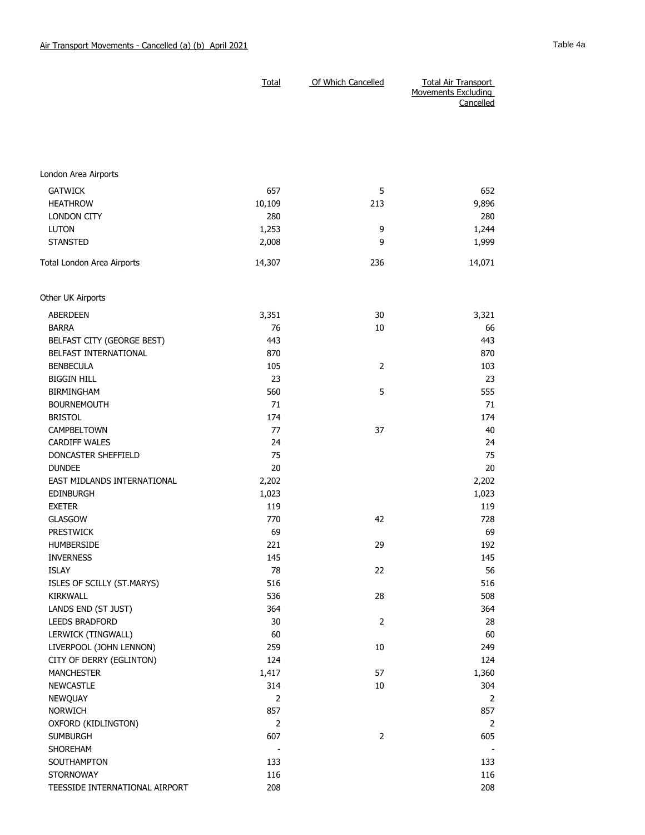|                             | Total  | Of Which Cancelled | <b>Total Air Transport</b><br>Movements Excluding<br>Cancelled |
|-----------------------------|--------|--------------------|----------------------------------------------------------------|
|                             |        |                    |                                                                |
| London Area Airports        |        |                    |                                                                |
| <b>GATWICK</b>              | 657    | 5                  | 652                                                            |
| <b>HEATHROW</b>             | 10,109 | 213                | 9,896                                                          |
| <b>LONDON CITY</b>          | 280    |                    | 280                                                            |
| <b>LUTON</b>                | 1,253  | 9                  | 1,244                                                          |
| <b>STANSTED</b>             | 2,008  | 9                  | 1,999                                                          |
| Total London Area Airports  | 14,307 | 236                | 14,071                                                         |
| Other UK Airports           |        |                    |                                                                |
| <b>ABERDEEN</b>             | 3,351  | 30                 | 3,321                                                          |
| <b>BARRA</b>                | 76     | 10                 | 66                                                             |
| BELFAST CITY (GEORGE BEST)  | 443    |                    | 443                                                            |
| BELFAST INTERNATIONAL       | 870    |                    | 870                                                            |
| <b>BENBECULA</b>            | 105    | $\overline{2}$     | 103                                                            |
| <b>BIGGIN HILL</b>          | 23     |                    | 23                                                             |
| <b>BIRMINGHAM</b>           | 560    | 5                  | 555                                                            |
| <b>BOURNEMOUTH</b>          | 71     |                    | 71                                                             |
| <b>BRISTOL</b>              | 174    |                    | 174                                                            |
| CAMPBELTOWN                 | 77     | 37                 | 40                                                             |
| <b>CARDIFF WALES</b>        | 24     |                    | 24                                                             |
| DONCASTER SHEFFIELD         | 75     |                    | 75                                                             |
| <b>DUNDEE</b>               | 20     |                    | 20                                                             |
| EAST MIDLANDS INTERNATIONAL | 2,202  |                    | 2,202                                                          |
| <b>EDINBURGH</b>            | 1,023  |                    | 1,023                                                          |
| <b>EXETER</b>               | 119    |                    | 119                                                            |
| <b>GLASGOW</b>              | 770    | 42                 | 728                                                            |
| <b>PRESTWICK</b>            | 69     |                    | 69                                                             |
| HUMBERSIDE                  | 221    | 29                 | 192                                                            |
| <b>INVERNESS</b>            | 145    |                    | 145                                                            |
| ISLAY                       | 78     | 22                 | 56                                                             |
| ISLES OF SCILLY (ST.MARYS)  | 516    |                    | 516                                                            |
| KIRKWALL                    | 536    | 28                 | 508                                                            |
| LANDS END (ST JUST)         | 364    |                    | 364                                                            |
| LEEDS BRADFORD              | 30     | $\overline{2}$     | 28                                                             |
| LERWICK (TINGWALL)          | 60     |                    | 60                                                             |
| LIVERPOOL (JOHN LENNON)     | 259    | 10                 | 249                                                            |
| CITY OF DERRY (EGLINTON)    | 124    |                    | 124                                                            |
| <b>MANCHESTER</b>           | 1,417  | 57                 | 1,360                                                          |
| NEWCASTLE                   | 314    | $10\,$             | 304                                                            |

NEWQUAY 2 2 NORWICH 857 857 OXFORD (KIDLINGTON) 2 2 SUMBURGH 607 2 605 SHOREHAM - - SOUTHAMPTON 133 133 STORNOWAY 116 116 116 TEESSIDE INTERNATIONAL AIRPORT 208 208